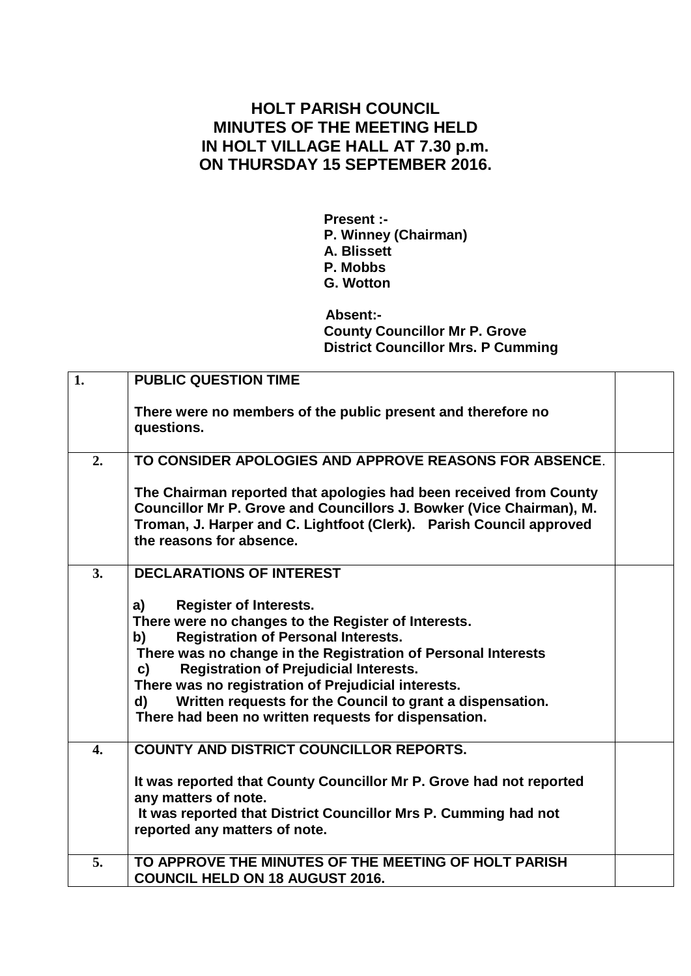## **HOLT PARISH COUNCIL MINUTES OF THE MEETING HELD IN HOLT VILLAGE HALL AT 7.30 p.m. ON THURSDAY 15 SEPTEMBER 2016.**

**Present :- P. Winney (Chairman) A. Blissett P. Mobbs G. Wotton**

## **Absent:- County Councillor Mr P. Grove District Councillor Mrs. P Cumming**

| $\overline{1}$ . | <b>PUBLIC QUESTION TIME</b>                                                                                                                                                                                                                                                                                                                                                                                                                              |  |
|------------------|----------------------------------------------------------------------------------------------------------------------------------------------------------------------------------------------------------------------------------------------------------------------------------------------------------------------------------------------------------------------------------------------------------------------------------------------------------|--|
|                  | There were no members of the public present and therefore no<br>questions.                                                                                                                                                                                                                                                                                                                                                                               |  |
| 2.               | TO CONSIDER APOLOGIES AND APPROVE REASONS FOR ABSENCE.                                                                                                                                                                                                                                                                                                                                                                                                   |  |
|                  | The Chairman reported that apologies had been received from County<br>Councillor Mr P. Grove and Councillors J. Bowker (Vice Chairman), M.<br>Troman, J. Harper and C. Lightfoot (Clerk). Parish Council approved<br>the reasons for absence.                                                                                                                                                                                                            |  |
| 3.               | <b>DECLARATIONS OF INTEREST</b>                                                                                                                                                                                                                                                                                                                                                                                                                          |  |
|                  | <b>Register of Interests.</b><br>a)<br>There were no changes to the Register of Interests.<br><b>Registration of Personal Interests.</b><br>b)<br>There was no change in the Registration of Personal Interests<br><b>Registration of Prejudicial Interests.</b><br>c)<br>There was no registration of Prejudicial interests.<br>Written requests for the Council to grant a dispensation.<br>d)<br>There had been no written requests for dispensation. |  |
| $\overline{4}$ . | <b>COUNTY AND DISTRICT COUNCILLOR REPORTS.</b><br>It was reported that County Councillor Mr P. Grove had not reported<br>any matters of note.<br>It was reported that District Councillor Mrs P. Cumming had not<br>reported any matters of note.                                                                                                                                                                                                        |  |
| 5.               | TO APPROVE THE MINUTES OF THE MEETING OF HOLT PARISH<br><b>COUNCIL HELD ON 18 AUGUST 2016.</b>                                                                                                                                                                                                                                                                                                                                                           |  |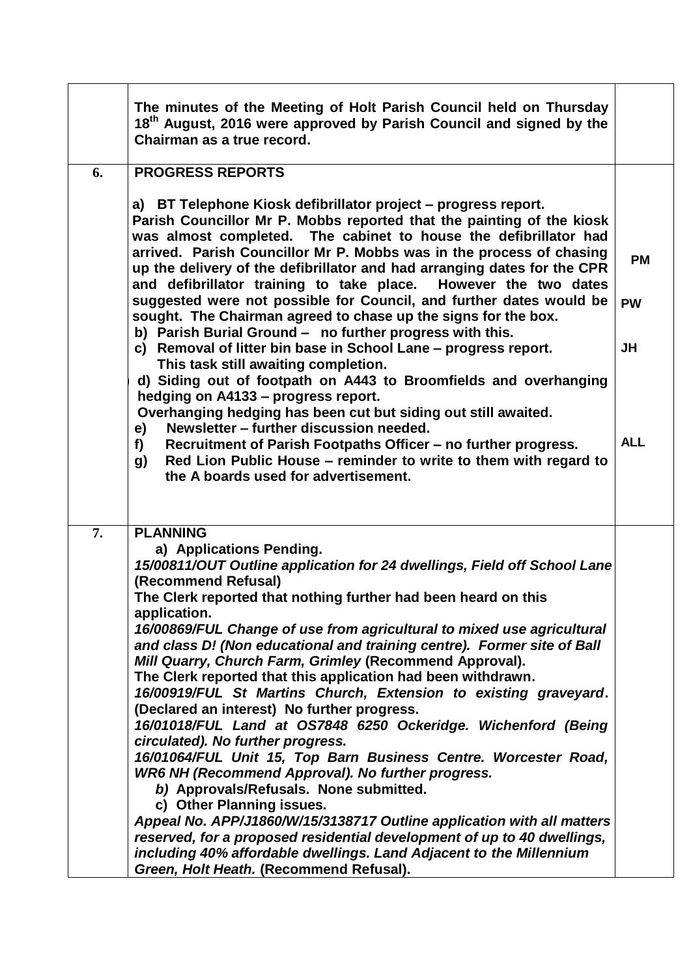|    | The minutes of the Meeting of Holt Parish Council held on Thursday<br>18 <sup>th</sup> August, 2016 were approved by Parish Council and signed by the<br>Chairman as a true record.                                                                                                                                                                                                                                                                                                                                                                                                                                                                                                                                                                                                                                                                                                                                                                                                                                                                                                                                                                                                                             |                                                   |
|----|-----------------------------------------------------------------------------------------------------------------------------------------------------------------------------------------------------------------------------------------------------------------------------------------------------------------------------------------------------------------------------------------------------------------------------------------------------------------------------------------------------------------------------------------------------------------------------------------------------------------------------------------------------------------------------------------------------------------------------------------------------------------------------------------------------------------------------------------------------------------------------------------------------------------------------------------------------------------------------------------------------------------------------------------------------------------------------------------------------------------------------------------------------------------------------------------------------------------|---------------------------------------------------|
| 6. | <b>PROGRESS REPORTS</b><br>a) BT Telephone Kiosk defibrillator project - progress report.<br>Parish Councillor Mr P. Mobbs reported that the painting of the kiosk<br>was almost completed. The cabinet to house the defibrillator had<br>arrived. Parish Councillor Mr P. Mobbs was in the process of chasing<br>up the delivery of the defibrillator and had arranging dates for the CPR<br>and defibrillator training to take place. However the two dates<br>suggested were not possible for Council, and further dates would be<br>sought. The Chairman agreed to chase up the signs for the box.<br>b) Parish Burial Ground - no further progress with this.<br>c) Removal of litter bin base in School Lane - progress report.<br>This task still awaiting completion.<br>d) Siding out of footpath on A443 to Broomfields and overhanging<br>hedging on A4133 - progress report.<br>Overhanging hedging has been cut but siding out still awaited.<br>Newsletter – further discussion needed.<br>e)<br>Recruitment of Parish Footpaths Officer - no further progress.<br>f)<br>Red Lion Public House – reminder to write to them with regard to<br>g)<br>the A boards used for advertisement.           | <b>PM</b><br><b>PW</b><br><b>JH</b><br><b>ALL</b> |
| 7. | <b>PLANNING</b><br>a) Applications Pending.<br>15/00811/OUT Outline application for 24 dwellings, Field off School Lane<br>(Recommend Refusal)<br>The Clerk reported that nothing further had been heard on this<br>application.<br>16/00869/FUL Change of use from agricultural to mixed use agricultural<br>and class D! (Non educational and training centre). Former site of Ball<br>Mill Quarry, Church Farm, Grimley (Recommend Approval).<br>The Clerk reported that this application had been withdrawn.<br>16/00919/FUL St Martins Church, Extension to existing graveyard.<br>(Declared an interest) No further progress.<br>16/01018/FUL Land at OS7848 6250 Ockeridge. Wichenford (Being<br>circulated). No further progress.<br>16/01064/FUL Unit 15, Top Barn Business Centre. Worcester Road,<br>WR6 NH (Recommend Approval). No further progress.<br>b) Approvals/Refusals. None submitted.<br>c) Other Planning issues.<br>Appeal No. APP/J1860/W/15/3138717 Outline application with all matters<br>reserved, for a proposed residential development of up to 40 dwellings,<br>including 40% affordable dwellings. Land Adjacent to the Millennium<br>Green, Holt Heath. (Recommend Refusal). |                                                   |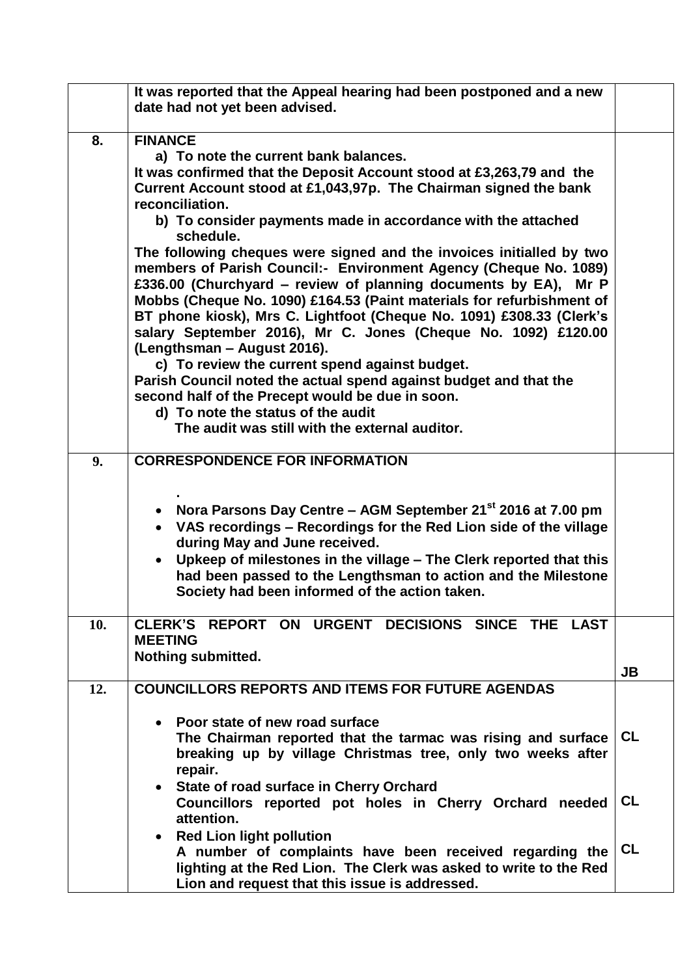|     | It was reported that the Appeal hearing had been postponed and a new<br>date had not yet been advised.                                                                                                                                                                                                                                                                                                                                                                                                                                                                                                                                                                                                                                                                                                                                                                                                                                                                                                                                  |           |
|-----|-----------------------------------------------------------------------------------------------------------------------------------------------------------------------------------------------------------------------------------------------------------------------------------------------------------------------------------------------------------------------------------------------------------------------------------------------------------------------------------------------------------------------------------------------------------------------------------------------------------------------------------------------------------------------------------------------------------------------------------------------------------------------------------------------------------------------------------------------------------------------------------------------------------------------------------------------------------------------------------------------------------------------------------------|-----------|
| 8.  | <b>FINANCE</b><br>a) To note the current bank balances.<br>It was confirmed that the Deposit Account stood at £3,263,79 and the<br>Current Account stood at £1,043,97p. The Chairman signed the bank<br>reconciliation.<br>b) To consider payments made in accordance with the attached<br>schedule.<br>The following cheques were signed and the invoices initialled by two<br>members of Parish Council:- Environment Agency (Cheque No. 1089)<br>£336.00 (Churchyard – review of planning documents by EA), Mr P<br>Mobbs (Cheque No. 1090) £164.53 (Paint materials for refurbishment of<br>BT phone kiosk), Mrs C. Lightfoot (Cheque No. 1091) £308.33 (Clerk's<br>salary September 2016), Mr C. Jones (Cheque No. 1092) £120.00<br>(Lengthsman - August 2016).<br>c) To review the current spend against budget.<br>Parish Council noted the actual spend against budget and that the<br>second half of the Precept would be due in soon.<br>d) To note the status of the audit<br>The audit was still with the external auditor. |           |
| 9.  | <b>CORRESPONDENCE FOR INFORMATION</b><br>Nora Parsons Day Centre – AGM September 21 <sup>st</sup> 2016 at 7.00 pm                                                                                                                                                                                                                                                                                                                                                                                                                                                                                                                                                                                                                                                                                                                                                                                                                                                                                                                       |           |
|     | VAS recordings - Recordings for the Red Lion side of the village<br>$\bullet$<br>during May and June received.<br>Upkeep of milestones in the village - The Clerk reported that this<br>$\bullet$<br>had been passed to the Lengthsman to action and the Milestone<br>Society had been informed of the action taken.                                                                                                                                                                                                                                                                                                                                                                                                                                                                                                                                                                                                                                                                                                                    |           |
| 10. | CLERK'S REPORT ON URGENT DECISIONS SINCE THE LAST<br><b>MEETING</b><br>Nothing submitted.                                                                                                                                                                                                                                                                                                                                                                                                                                                                                                                                                                                                                                                                                                                                                                                                                                                                                                                                               | <b>JB</b> |
| 12. | <b>COUNCILLORS REPORTS AND ITEMS FOR FUTURE AGENDAS</b><br>• Poor state of new road surface<br>The Chairman reported that the tarmac was rising and surface                                                                                                                                                                                                                                                                                                                                                                                                                                                                                                                                                                                                                                                                                                                                                                                                                                                                             | <b>CL</b> |
|     | breaking up by village Christmas tree, only two weeks after<br>repair.<br>• State of road surface in Cherry Orchard<br>Councillors reported pot holes in Cherry Orchard needed<br>attention.                                                                                                                                                                                                                                                                                                                                                                                                                                                                                                                                                                                                                                                                                                                                                                                                                                            | CL        |
|     | • Red Lion light pollution<br>A number of complaints have been received regarding the<br>lighting at the Red Lion. The Clerk was asked to write to the Red<br>Lion and request that this issue is addressed.                                                                                                                                                                                                                                                                                                                                                                                                                                                                                                                                                                                                                                                                                                                                                                                                                            | CL        |